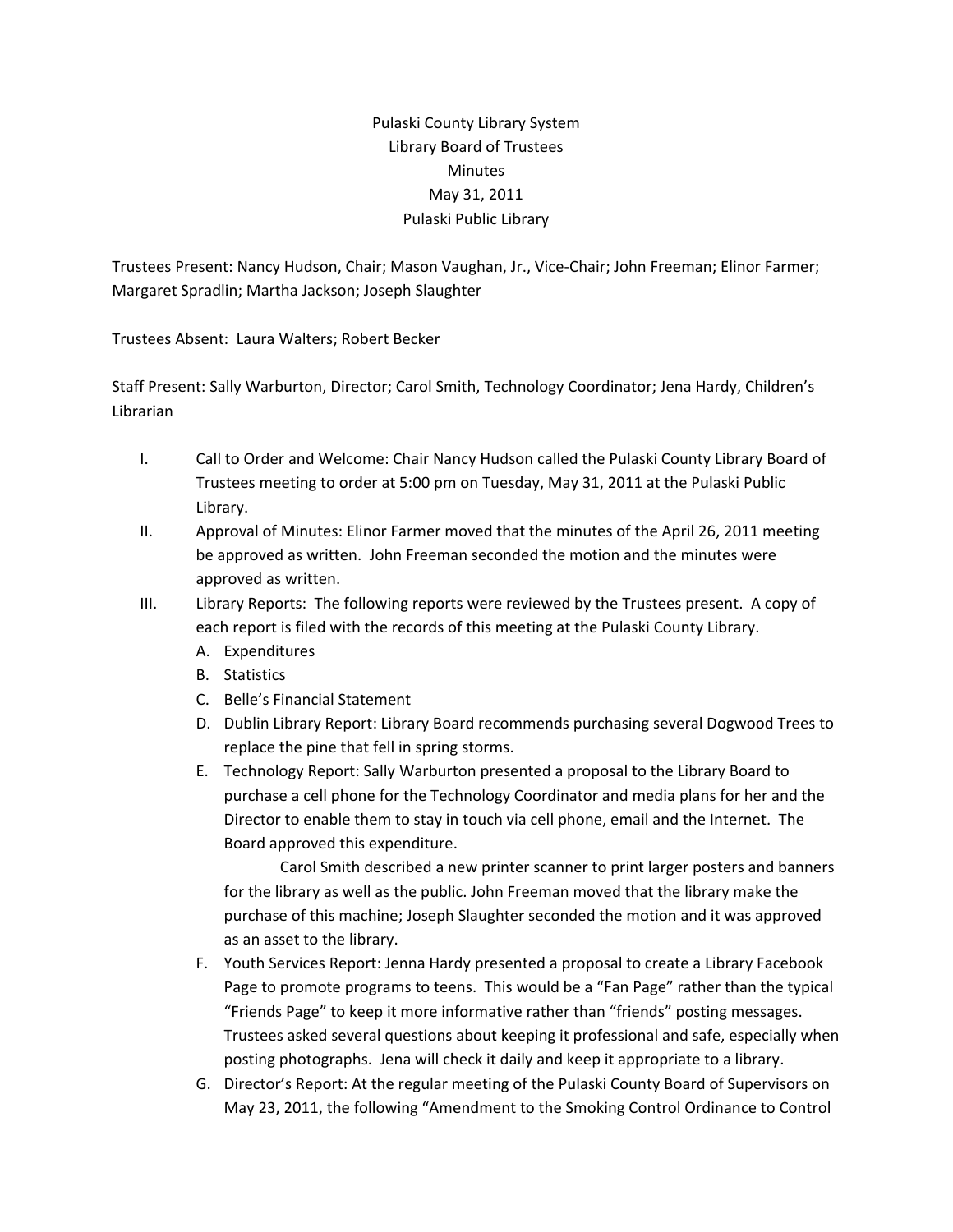## Pulaski County Library System Library Board of Trustees Minutes May 31, 2011 Pulaski Public Library

Trustees Present: Nancy Hudson, Chair; Mason Vaughan, Jr., Vice‐Chair; John Freeman; Elinor Farmer; Margaret Spradlin; Martha Jackson; Joseph Slaughter

Trustees Absent: Laura Walters; Robert Becker

Staff Present: Sally Warburton, Director; Carol Smith, Technology Coordinator; Jena Hardy, Children's Librarian

- I. Call to Order and Welcome: Chair Nancy Hudson called the Pulaski County Library Board of Trustees meeting to order at 5:00 pm on Tuesday, May 31, 2011 at the Pulaski Public Library.
- II. Approval of Minutes: Elinor Farmer moved that the minutes of the April 26, 2011 meeting be approved as written. John Freeman seconded the motion and the minutes were approved as written.
- III. Library Reports: The following reports were reviewed by the Trustees present. A copy of each report is filed with the records of this meeting at the Pulaski County Library.
	- A. Expenditures
	- B. Statistics
	- C. Belle's Financial Statement
	- D. Dublin Library Report: Library Board recommends purchasing several Dogwood Trees to replace the pine that fell in spring storms.
	- E. Technology Report: Sally Warburton presented a proposal to the Library Board to purchase a cell phone for the Technology Coordinator and media plans for her and the Director to enable them to stay in touch via cell phone, email and the Internet. The Board approved this expenditure.

Carol Smith described a new printer scanner to print larger posters and banners for the library as well as the public. John Freeman moved that the library make the purchase of this machine; Joseph Slaughter seconded the motion and it was approved as an asset to the library.

- F. Youth Services Report: Jenna Hardy presented a proposal to create a Library Facebook Page to promote programs to teens. This would be a "Fan Page" rather than the typical "Friends Page" to keep it more informative rather than "friends" posting messages. Trustees asked several questions about keeping it professional and safe, especially when posting photographs. Jena will check it daily and keep it appropriate to a library.
- G. Director's Report: At the regular meeting of the Pulaski County Board of Supervisors on May 23, 2011, the following "Amendment to the Smoking Control Ordinance to Control